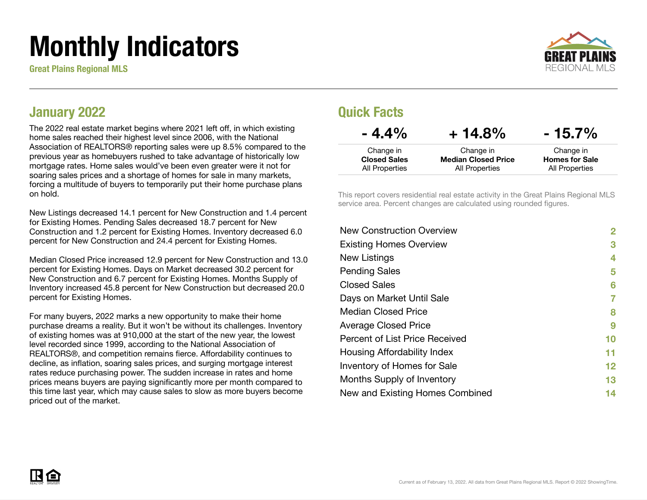# Monthly Indicators

Great Plains Regional MLS



### January 2022

The 2022 real estate market begins where 2021 left off, in which existing home sales reached their highest level since 2006, with the National Association of REALTORS® reporting sales were up 8.5% compared to the previous year as homebuyers rushed to take advantage of historically low mortgage rates. Home sales would've been even greater were it not for soaring sales prices and a shortage of homes for sale in many markets, forcing a multitude of buyers to temporarily put their home purchase plans on hold.

New Listings decreased 14.1 percent for New Construction and 1.4 percent for Existing Homes. Pending Sales decreased 18.7 percent for New Construction and 1.2 percent for Existing Homes. Inventory decreased 6.0 percent for New Construction and 24.4 percent for Existing Homes.

Median Closed Price increased 12.9 percent for New Construction and 13.0 percent for Existing Homes. Days on Market decreased 30.2 percent for New Construction and 6.7 percent for Existing Homes. Months Supply of Inventory increased 45.8 percent for New Construction but decreased 20.0 percent for Existing Homes.

For many buyers, 2022 marks a new opportunity to make their home purchase dreams a reality. But it won't be without its challenges. Inventory of existing homes was at 910,000 at the start of the new year, the lowest level recorded since 1999, according to the National Association of REALTORS®, and competition remains fierce. Affordability continues to decline, as inflation, soaring sales prices, and surging mortgage interest rates reduce purchasing power. The sudden increase in rates and home prices means buyers are paying significantly more per month compared to this time last year, which may cause sales to slow as more buyers become priced out of the market.

### Quick Facts

| $-4.4\%$            | $+14.8%$                   | $-15.7\%$             |
|---------------------|----------------------------|-----------------------|
| Change in           | Change in                  | Change in             |
| <b>Closed Sales</b> | <b>Median Closed Price</b> | <b>Homes for Sale</b> |
| All Properties      | All Properties             | All Properties        |

This report covers residential real estate activity in the Great Plains Regional MLS service area. Percent changes are calculated using rounded figures.

| <b>New Construction Overview</b> | $\overline{2}$ |
|----------------------------------|----------------|
| <b>Existing Homes Overview</b>   | 3              |
| New Listings                     | 4              |
| <b>Pending Sales</b>             | 5              |
| <b>Closed Sales</b>              | 6              |
| Days on Market Until Sale        | 7              |
| Median Closed Price              | 8              |
| <b>Average Closed Price</b>      | 9              |
| Percent of List Price Received   | 10             |
| Housing Affordability Index      | 11             |
| Inventory of Homes for Sale      | 12             |
| Months Supply of Inventory       | 13             |
| New and Existing Homes Combined  | 14             |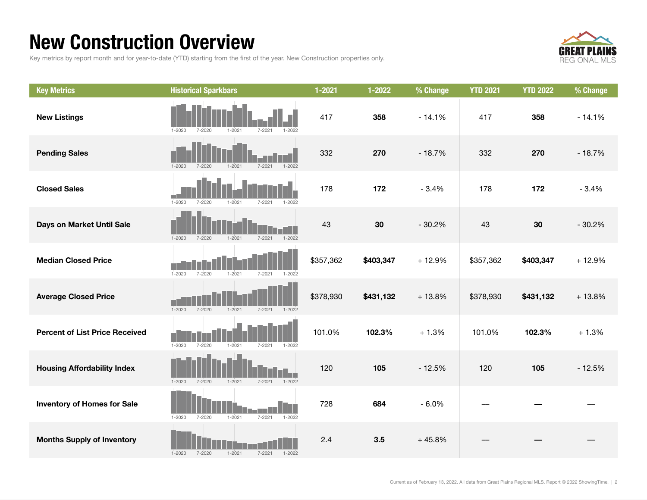### New Construction Overview

Key metrics by report month and for year-to-date (YTD) starting from the first of the year. New Construction properties only.



| <b>Key Metrics</b>                    | <b>Historical Sparkbars</b>                                        | $1 - 2021$ | 1-2022    | % Change | <b>YTD 2021</b> | <b>YTD 2022</b> | % Change |
|---------------------------------------|--------------------------------------------------------------------|------------|-----------|----------|-----------------|-----------------|----------|
| <b>New Listings</b>                   | $1 - 2021$<br>$1 - 2020$<br>$7 - 2020$<br>$7 - 2021$<br>$1 - 2022$ | 417        | 358       | $-14.1%$ | 417             | 358             | $-14.1%$ |
| <b>Pending Sales</b>                  | $7 - 2020$<br>$1 - 2021$<br>$1 - 2022$<br>$1 - 2020$<br>$7 - 2021$ | 332        | 270       | $-18.7%$ | 332             | 270             | $-18.7%$ |
| <b>Closed Sales</b>                   | $1 - 2020$<br>$7 - 2020$<br>$1 - 2021$<br>$7 - 2021$<br>$1 - 2022$ | 178        | 172       | $-3.4%$  | 178             | 172             | $-3.4%$  |
| Days on Market Until Sale             | $1 - 2021$<br>$1 - 2022$<br>$1 - 2020$<br>$7 - 2020$<br>$7 - 2021$ | 43         | 30        | $-30.2%$ | 43              | 30              | $-30.2%$ |
| <b>Median Closed Price</b>            | $1 - 2020$<br>$7 - 2020$<br>$1 - 2021$<br>$7 - 2021$<br>$1 - 2022$ | \$357,362  | \$403,347 | $+12.9%$ | \$357,362       | \$403,347       | $+12.9%$ |
| <b>Average Closed Price</b>           | $1 - 2020$<br>$7 - 2020$<br>$1 - 2021$<br>$7 - 2021$<br>$1 - 2022$ | \$378,930  | \$431,132 | $+13.8%$ | \$378,930       | \$431,132       | $+13.8%$ |
| <b>Percent of List Price Received</b> | $1 - 2020$<br>$7 - 2020$<br>$1 - 2021$<br>$7 - 2021$<br>$1 - 2022$ | 101.0%     | 102.3%    | $+1.3%$  | 101.0%          | 102.3%          | $+1.3%$  |
| <b>Housing Affordability Index</b>    | $1 - 2020$<br>$7 - 2020$<br>$1 - 2021$<br>$7 - 2021$<br>$1 - 2022$ | 120        | 105       | $-12.5%$ | 120             | 105             | $-12.5%$ |
| <b>Inventory of Homes for Sale</b>    | $1 - 2020$<br>$7 - 2020$<br>$1 - 2021$<br>$7 - 2021$<br>$1 - 2022$ | 728        | 684       | $-6.0%$  |                 |                 |          |
| <b>Months Supply of Inventory</b>     | $1 - 2021$<br>$7 - 2021$<br>$1 - 2020$<br>7-2020<br>$1 - 2022$     | 2.4        | 3.5       | $+45.8%$ |                 |                 |          |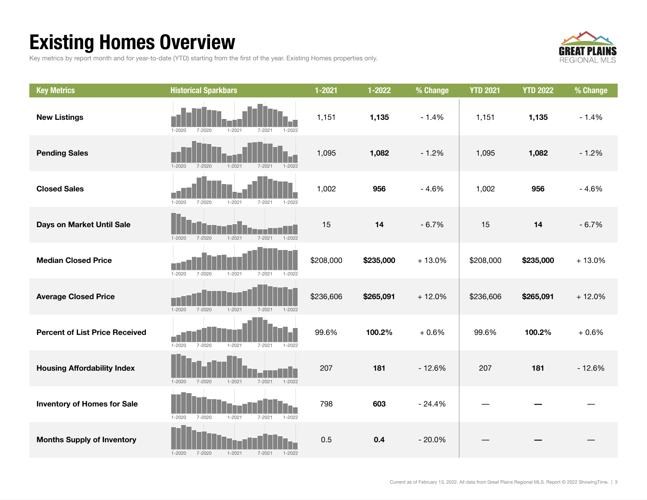### Existing Homes Overview

Key metrics by report month and for year-to-date (YTD) starting from the first of the year. Existing Homes properties only.



| <b>Key Metrics</b>                    | <b>Historical Sparkbars</b>                                        | $1 - 2021$ | $1 - 2022$ | % Change | <b>YTD 2021</b> | <b>YTD 2022</b> | % Change |
|---------------------------------------|--------------------------------------------------------------------|------------|------------|----------|-----------------|-----------------|----------|
| <b>New Listings</b>                   | $1 - 2021$<br>$7 - 2020$<br>$1 - 2022$<br>$1 - 2020$<br>7-2021     | 1,151      | 1,135      | $-1.4%$  | 1,151           | 1,135           | $-1.4%$  |
| <b>Pending Sales</b>                  | $1 - 2020$<br>$7 - 2020$<br>$1 - 2021$<br>$7 - 2021$<br>$1 - 2022$ | 1,095      | 1,082      | $-1.2%$  | 1,095           | 1,082           | $-1.2%$  |
| <b>Closed Sales</b>                   | $1 - 2020$<br>$7 - 2020$<br>$1 - 2021$<br>$7 - 2021$<br>1-2022     | 1,002      | 956        | $-4.6%$  | 1,002           | 956             | $-4.6%$  |
| Days on Market Until Sale             | $7 - 2021$<br>$1 - 2022$<br>$1 - 2020$<br>$7 - 2020$<br>$1 - 2021$ | 15         | 14         | $-6.7%$  | 15              | 14              | $-6.7%$  |
| <b>Median Closed Price</b>            | $1 - 2020$<br>$7 - 2020$<br>$1 - 2021$<br>$7 - 2021$<br>$1 - 2022$ | \$208,000  | \$235,000  | $+13.0%$ | \$208,000       | \$235,000       | $+13.0%$ |
| <b>Average Closed Price</b>           | $1 - 2020$<br>$1 - 2021$<br>7-2020<br>$7 - 2021$<br>$1 - 2022$     | \$236,606  | \$265,091  | $+12.0%$ | \$236,606       | \$265,091       | $+12.0%$ |
| <b>Percent of List Price Received</b> | $1 - 2020$<br>$7 - 2020$<br>$1 - 2021$<br>$7 - 2021$<br>$1 - 2022$ | 99.6%      | 100.2%     | $+0.6%$  | 99.6%           | 100.2%          | $+0.6%$  |
| <b>Housing Affordability Index</b>    | $7 - 2020$<br>$1 - 2021$<br>$7 - 2021$<br>$1 - 2022$<br>$1 - 2020$ | 207        | 181        | $-12.6%$ | 207             | 181             | $-12.6%$ |
| <b>Inventory of Homes for Sale</b>    | $1 - 2021$<br>$1 - 2020$<br>$7 - 2020$<br>$7 - 2021$<br>$1 - 2022$ | 798        | 603        | $-24.4%$ |                 |                 |          |
| <b>Months Supply of Inventory</b>     | $7 - 2020$<br>$1 - 2021$<br>$7 - 2021$<br>$1 - 2020$<br>$1 - 2022$ | 0.5        | 0.4        | $-20.0%$ |                 |                 |          |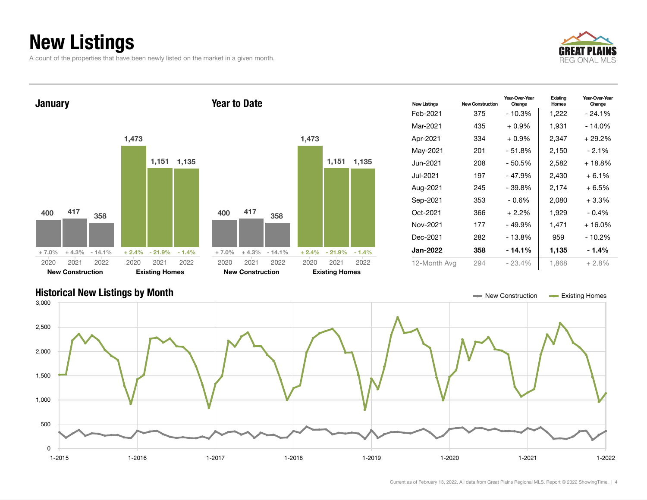### New Listings

A count of the properties that have been newly listed on the market in a given month.





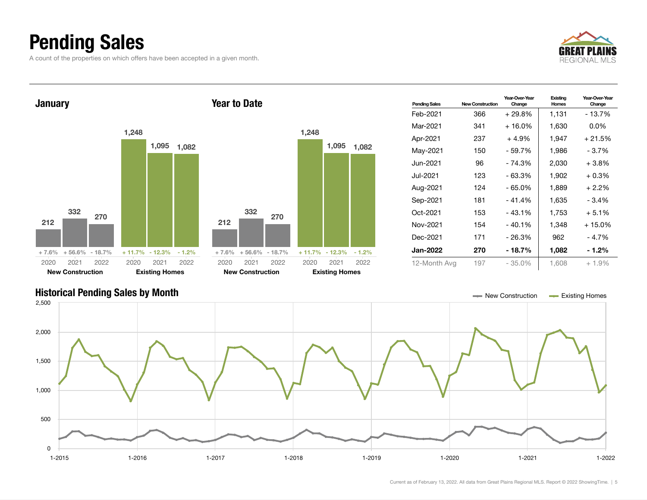### Pending Sales

A count of the properties on which offers have been accepted in a given month.





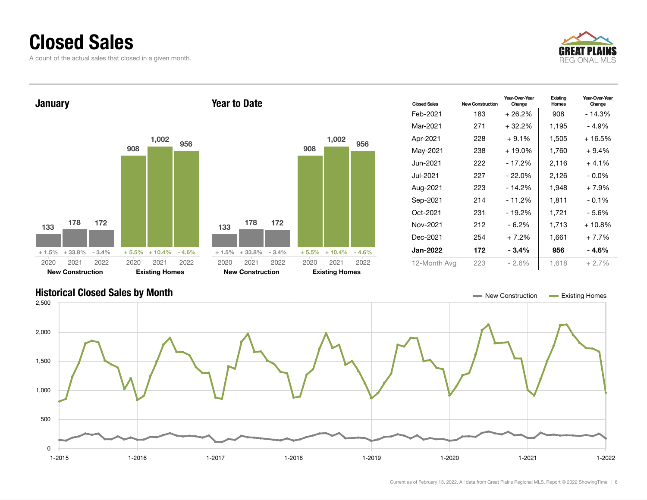### Closed Sales

A count of the actual sales that closed in a given month.





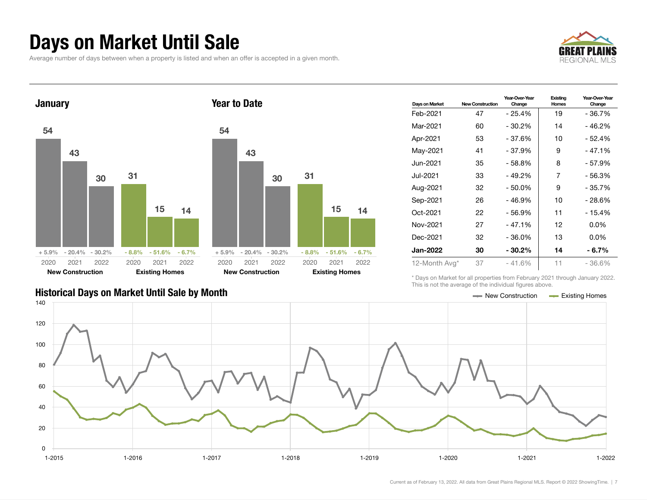### Days on Market Until Sale

Average number of days between when a property is listed and when an offer is accepted in a given month.





| 54      |                         |      |         |                       |      |  |
|---------|-------------------------|------|---------|-----------------------|------|--|
|         | 43                      |      |         |                       |      |  |
|         |                         | 30   | 31      |                       |      |  |
|         |                         |      |         | 15                    | 14   |  |
|         |                         |      |         |                       |      |  |
| $+5.9%$ | $-20.4\% - 30.2\%$      |      | $-8.8%$ | $-51.6\% - 6.7\%$     |      |  |
| 2020    | 2021                    | 2022 | 2020    | 2021                  | 2022 |  |
|         | <b>New Construction</b> |      |         | <b>Existing Homes</b> |      |  |

| Days on Market  | <b>New Construction</b> | Year-Over-Year<br>Change | Existina<br>Homes | Year-Over-Year<br>Change |
|-----------------|-------------------------|--------------------------|-------------------|--------------------------|
| Feb-2021        | 47                      | - 25.4%                  | 19                | $-36.7%$                 |
| Mar-2021        | 60                      | $-30.2%$                 | 14                | $-46.2%$                 |
| Apr-2021        | 53                      | - 37.6%                  | 10                | - 52.4%                  |
| May-2021        | 41                      | - 37.9%                  | 9                 | - 47.1%                  |
| Jun-2021        | 35                      | - 58.8%                  | 8                 | - 57.9%                  |
| Jul-2021        | 33                      | - 49.2%                  | 7                 | $-56.3%$                 |
| Aug-2021        | 32                      | $-50.0%$                 | 9                 | $-35.7%$                 |
| Sep-2021        | 26                      | - 46.9%                  | 10                | - 28.6%                  |
| Oct-2021        | 22                      | - 56.9%                  | 11                | $-15.4%$                 |
| Nov-2021        | 27                      | $-47.1%$                 | 12                | $0.0\%$                  |
| Dec-2021        | 32                      | - 36.0%                  | 13                | $0.0\%$                  |
| <b>Jan-2022</b> | 30                      | $-30.2%$                 | 14                | - 6.7%                   |
| 12-Month Avg*   | 37                      | $-41.6%$                 | 11                | $-36.6\%$                |

\* Days on Market for all properties from February 2021 through January 2022. This is not the average of the individual figures above.



#### Historical Days on Market Until Sale by Month New York New York New York New York New York New York New York New York New York New York New York New York New York New York New York New York New York New York New York New Y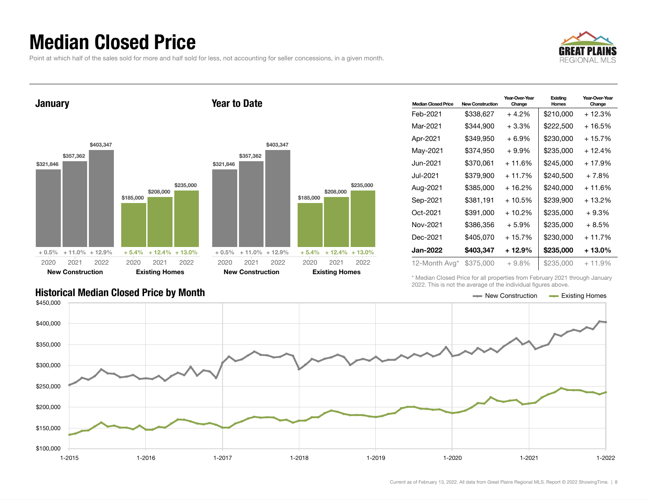### Median Closed Price

Point at which half of the sales sold for more and half sold for less, not accounting for seller concessions, in a given month.

Year to Date



**January** 



| <b>Median Closed Price</b> | <b>New Construction</b> | Year-Over-Year<br>Change | Existing<br><b>Homes</b> | Year-Over-Year<br>Change |
|----------------------------|-------------------------|--------------------------|--------------------------|--------------------------|
| Feb-2021                   | \$338,627               | $+4.2%$                  | \$210,000                | + 12.3%                  |
| Mar-2021                   | \$344,900               | $+3.3\%$                 | \$222,500                | + 16.5%                  |
| Apr-2021                   | \$349,950               | $+6.9%$                  | \$230,000                | $+15.7%$                 |
| May-2021                   | \$374,950               | $+9.9%$                  | \$235,000                | + 12.4%                  |
| Jun-2021.                  | \$370,061               | $+11.6%$                 | \$245,000                | $+17.9%$                 |
| Jul-2021                   | \$379,900               | $+11.7%$                 | \$240,500                | $+7.8%$                  |
| Aug-2021                   | \$385,000               | + 16.2%                  | \$240,000                | + 11.6%                  |
| Sep-2021                   | \$381,191               | + 10.5%                  | \$239,900                | + 13.2%                  |
| Oct-2021                   | \$391.000               | $+10.2%$                 | \$235,000                | $+9.3%$                  |
| Nov-2021                   | \$386,356               | $+5.9%$                  | \$235,000                | + 8.5%                   |
| Dec-2021                   | \$405,070               | $+15.7%$                 | \$230,000                | $+11.7%$                 |
| Jan-2022                   | \$403,347               | + 12.9%                  | \$235,000                | + 13.0%                  |
| 12-Month Avg*              | \$375,000               | $+9.8%$                  | \$235,000                | $+11.9%$                 |

\* Median Closed Price for all properties from February 2021 through January 2022. This is not the average of the individual figures above.



\$235,000

2021 2022

#### Historical Median Closed Price by Month **New Construction Accord Price by Month** New Construction Accord Existing Homes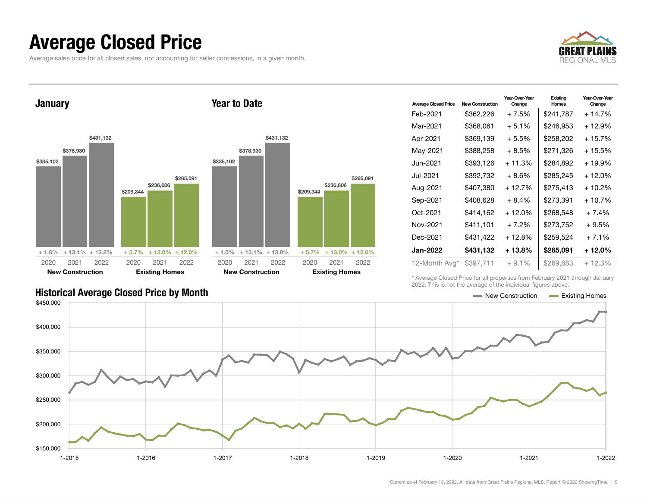### Average Closed Price

Average sales price for all closed sales, not accounting for seller concessions, in a given month.



January \$335,102 \$378,930 \$431,132 + 1.0% + 13.1% + 13.8% \$209,344  $$2$ \$265,091  $+ 5.7\% +$ 2020 New Construction 2021 2022 2020 Existing Homes 2021 2022 Year to Date \$335,102 \$378,930 \$431,132 + 1.0% + 13.1% + 13.8% 2020 Construction

| <b>Average Closed Price</b> | <b>New Construction</b> | Year-Over-Year<br>Change | Existing<br>Homes | Year-Over-Year<br>Change |
|-----------------------------|-------------------------|--------------------------|-------------------|--------------------------|
| Feb-2021                    | \$362,226               | + 7.5%                   | \$241,787         | $+14.7%$                 |
| Mar-2021                    | \$368.061               | $+5.1%$                  | \$246.953         | + 12.9%                  |
| Apr-2021                    | \$369,139               | + 5.5%                   | \$258.202         | $+15.7%$                 |
| May-2021                    | \$388,258               | + 8.5%                   | \$271.326         | + 15.5%                  |
| Jun-2021                    | \$393,126               | $+11.3%$                 | \$284,892         | + 19.9%                  |
| Jul-2021                    | \$392,732               | $+8.6%$                  | \$285,245         | + 12.0%                  |
| Aug-2021                    | \$407,380               | + 12.7%                  | \$275,413         | + 10.2%                  |
| Sep-2021                    | \$408,628               | $+8.4%$                  | \$273,391         | $+10.7%$                 |
| Oct-2021                    | \$414,162               | + 12.0%                  | \$268,548         | $+7.4%$                  |
| Nov-2021                    | \$411,101               | + 7.2%                   | \$273,752         | $+9.5%$                  |
| Dec-2021                    | \$431,422               | + 12.8%                  | \$259,524         | $+7.1%$                  |
| Jan-2022                    | \$431,132               | + 13.8%                  | \$265.091         | + 12.0%                  |
| 12-Month Avg*               | \$397,711               | $+9.1%$                  | \$269,683         | $+12.3%$                 |

\* Average Closed Price for all properties from February 2021 through January 2022. This is not the average of the individual figures above.

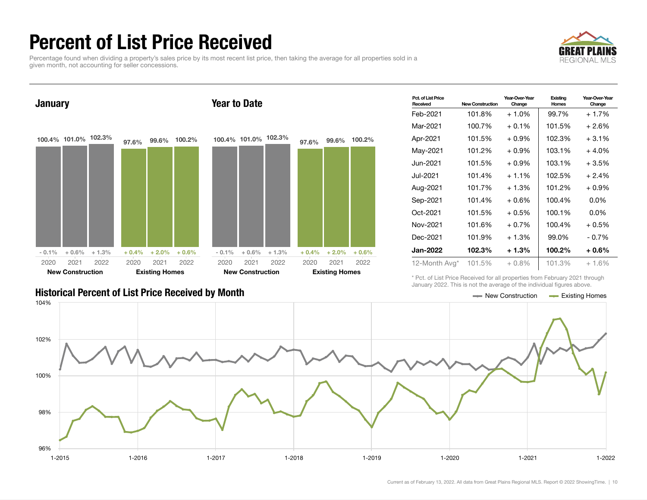### Percent of List Price Received

Percentage found when dividing a property's sales price by its most recent list price, then taking the average for all properties sold in a given month, not accounting for seller concessions.





| Pct. of List Price<br>Received | <b>New Construction</b> | Year-Over-Year<br>Change | Existing<br><b>Homes</b> | Year-Over-Year<br>Change |
|--------------------------------|-------------------------|--------------------------|--------------------------|--------------------------|
| Feb-2021                       | 101.8%                  | $+1.0%$                  | 99.7%                    | $+1.7%$                  |
| Mar-2021                       | 100.7%                  | $+0.1%$                  | 101.5%                   | + 2.6%                   |
| Apr-2021                       | 101.5%                  | $+0.9\%$                 | 102.3%                   | $+3.1\%$                 |
| May-2021                       | 101.2%                  | $+0.9\%$                 | 103.1%                   | $+4.0%$                  |
| Jun-2021.                      | 101.5%                  | $+0.9\%$                 | 103.1%                   | $+3.5%$                  |
| Jul-2021                       | 101.4%                  | $+1.1\%$                 | 102.5%                   | $+2.4%$                  |
| Aug-2021                       | 101.7%                  | $+1.3%$                  | 101.2%                   | $+0.9\%$                 |
| Sep-2021                       | 101.4%                  | $+0.6\%$                 | 100.4%                   | $0.0\%$                  |
| Oct-2021                       | 101.5%                  | $+0.5\%$                 | 100.1%                   | $0.0\%$                  |
| Nov-2021                       | 101.6%                  | $+0.7\%$                 | 100.4%                   | $+0.5%$                  |
| Dec-2021                       | 101.9%                  | $+1.3%$                  | 99.0%                    | $-0.7\%$                 |
| <b>Jan-2022</b>                | 102.3%                  | $+1.3%$                  | 100.2%                   | $+0.6\%$                 |
| 12-Month Avg*                  | 101.5%                  | $+0.8\%$                 | 101.3%                   | $+1.6%$                  |

Historical Percent of List Price Received by Month New Construction According Homes

\* Pct. of List Price Received for all properties from February 2021 through January 2022. This is not the average of the individual figures above.

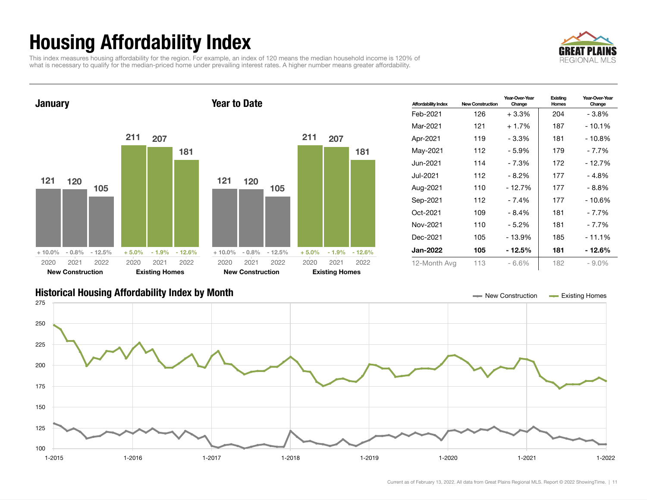## Housing Affordability Index

This index measures housing affordability for the region. For example, an index of 120 means the median household income is 120% of what is necessary to qualify for the median-priced home under prevailing interest rates. A higher number means greater affordability.





| <b>Affordability Index</b> | <b>New Construction</b> | Year-Over-Year<br>Change | Existing<br>Homes | Year-Over-Year<br>Change |
|----------------------------|-------------------------|--------------------------|-------------------|--------------------------|
| Feb-2021                   | 126                     | $+3.3\%$                 | 204               | - 3.8%                   |
| Mar-2021                   | 121                     | $+1.7%$                  | 187               | - 10.1%                  |
| Apr-2021                   | 119                     | $-3.3%$                  | 181               | $-10.8%$                 |
| May-2021                   | 112                     | - 5.9%                   | 179               | - 7.7%                   |
| Jun-2021.                  | 114                     | - 7.3%                   | 172               | - 12.7%                  |
| Jul-2021                   | 112                     | - 8.2%                   | 177               | - 4.8%                   |
| Aug-2021                   | 110                     | $-12.7%$                 | 177               | - 8.8%                   |
| Sep-2021                   | 112                     | $-7.4%$                  | 177               | $-10.6%$                 |
| Oct-2021                   | 109                     | - 8.4%                   | 181               | - 7.7%                   |
| Nov-2021                   | 110                     | - 5.2%                   | 181               | - 7.7%                   |
| Dec-2021                   | 105                     | $-13.9%$                 | 185               | - 11.1%                  |
| <b>Jan-2022</b>            | 105                     | - 12.5%                  | 181               | - 12.6%                  |
| 12-Month Avg               | 113                     | $-6.6%$                  | 182               | $-9.0%$                  |

#### Historical Housing Affordability Index by Month New Construction Existing Homes

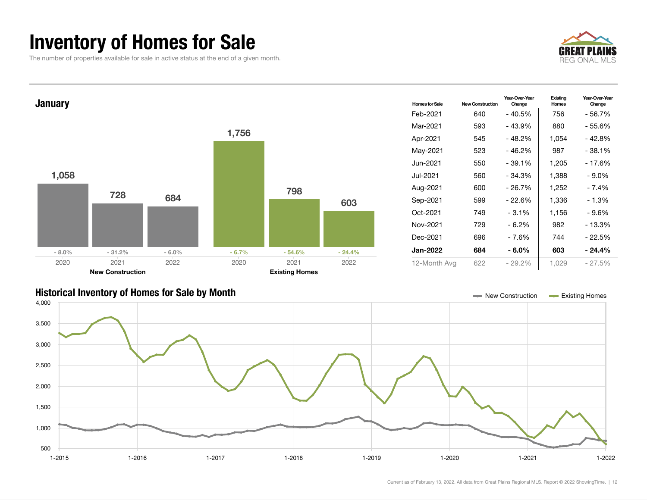### Inventory of Homes for Sale

The number of properties available for sale in active status at the end of a given month.







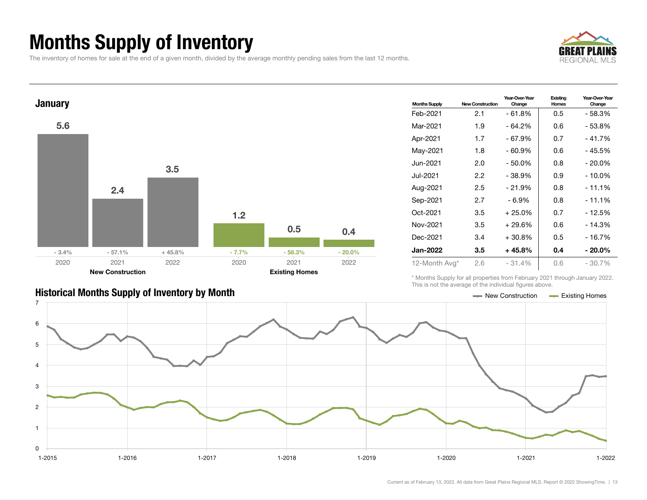### Months Supply of Inventory

The inventory of homes for sale at the end of a given month, divided by the average monthly pending sales from the last 12 months.





| <b>Historical Months Supply of Inventory by Month</b> |
|-------------------------------------------------------|
|-------------------------------------------------------|

| <b>Months Supply</b> | <b>New Construction</b> | Year-Over-Year<br>Change | Existing<br>Homes | Year-Over-Year<br>Change |  |
|----------------------|-------------------------|--------------------------|-------------------|--------------------------|--|
| Feb-2021             | 2.1                     | - 61.8%                  | 0.5               | - 58.3%                  |  |
| Mar-2021             | 1.9                     | $-64.2%$                 | 0.6               | - 53.8%                  |  |
| Apr-2021             | 1.7                     | - 67.9%                  | 0.7               | $-41.7%$                 |  |
| May-2021             | 1.8                     | - 60.9%                  | 0.6               | - 45.5%                  |  |
| Jun-2021 <b>.</b>    | 2.0                     | $-50.0%$                 | 0.8               | $-20.0\%$                |  |
| Jul-2021.            | 2.2                     | $-38.9%$                 | 0.9               | - 10.0%                  |  |
| Aug-2021             | 2.5                     | $-21.9%$                 | 0.8               | $-11.1%$                 |  |
| Sep-2021             | 2.7                     | - 6.9%                   | 0.8               | $-11.1%$                 |  |
| Oct-2021             | 3.5                     | $+25.0%$                 | 0.7               | - 12.5%                  |  |
| Nov-2021             | 3.5                     | $+29.6%$                 | 0.6               | $-14.3%$                 |  |
| Dec-2021             | 3.4                     | $+30.8%$                 | 0.5               | - 16.7%                  |  |
| <b>Jan-2022</b>      | 3.5                     | $+45.8%$                 | 0.4               | $-20.0\%$                |  |
| 12-Month Avg*        | 2.6                     | $-31.4%$                 | 0.6               | $-30.7\%$                |  |

\* Months Supply for all properties from February 2021 through January 2022. This is not the average of the individual figures above.